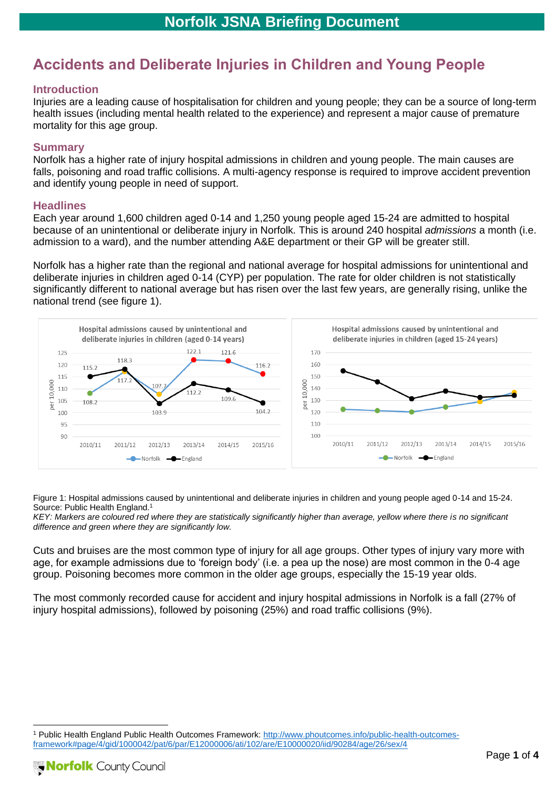# **Accidents and Deliberate Injuries in Children and Young People**

### **Introduction**

Injuries are a leading cause of hospitalisation for children and young people; they can be a source of long-term health issues (including mental health related to the experience) and represent a major cause of premature mortality for this age group.

## **Summary**

Norfolk has a higher rate of injury hospital admissions in children and young people. The main causes are falls, poisoning and road traffic collisions. A multi-agency response is required to improve accident prevention and identify young people in need of support.

#### **Headlines**

Each year around 1,600 children aged 0-14 and 1,250 young people aged 15-24 are admitted to hospital because of an unintentional or deliberate injury in Norfolk. This is around 240 hospital *admissions* a month (i.e. admission to a ward), and the number attending A&E department or their GP will be greater still.

Norfolk has a higher rate than the regional and national average for hospital admissions for unintentional and deliberate injuries in children aged 0-14 (CYP) per population. The rate for older children is not statistically significantly different to national average but has risen over the last few years, are generally rising, unlike the national trend (see figure 1).



Figure 1: Hospital admissions caused by unintentional and deliberate injuries in children and young people aged 0-14 and 15-24. Source: Public Health England.<sup>1</sup>

*KEY: Markers are coloured red where they are statistically significantly higher than average, yellow where there is no significant difference and green where they are significantly low.*

Cuts and bruises are the most common type of injury for all age groups. Other types of injury vary more with age, for example admissions due to 'foreign body' (i.e. a pea up the nose) are most common in the 0-4 age group. Poisoning becomes more common in the older age groups, especially the 15-19 year olds.

The most commonly recorded cause for accident and injury hospital admissions in Norfolk is a fall (27% of injury hospital admissions), followed by poisoning (25%) and road traffic collisions (9%).

<sup>1</sup> Public Health England Public Health Outcomes Framework: [http://www.phoutcomes.info/public-health-outcomes](http://www.phoutcomes.info/public-health-outcomes-framework#page/4/gid/1000042/pat/6/par/E12000006/ati/102/are/E10000020/iid/90284/age/26/sex/4)[framework#page/4/gid/1000042/pat/6/par/E12000006/ati/102/are/E10000020/iid/90284/age/26/sex/4](http://www.phoutcomes.info/public-health-outcomes-framework#page/4/gid/1000042/pat/6/par/E12000006/ati/102/are/E10000020/iid/90284/age/26/sex/4)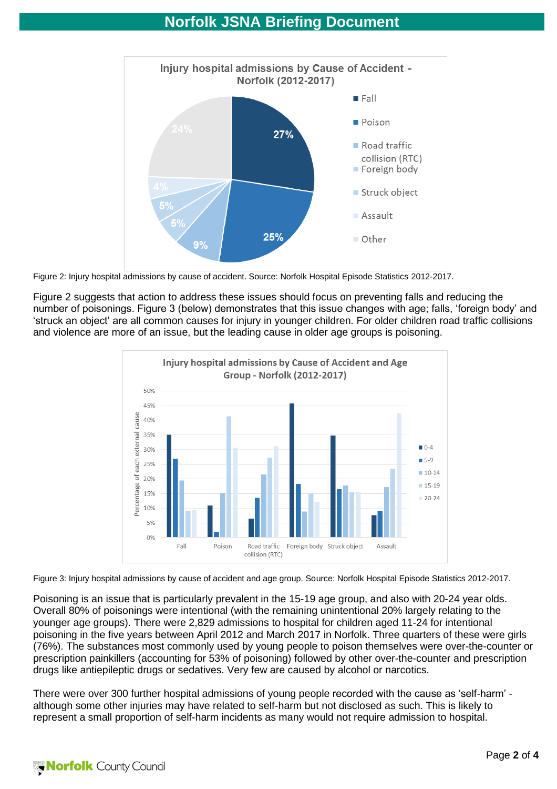

Figure 2: Injury hospital admissions by cause of accident. Source: Norfolk Hospital Episode Statistics 2012-2017.

Figure 2 suggests that action to address these issues should focus on preventing falls and reducing the number of poisonings. Figure 3 (below) demonstrates that this issue changes with age; falls, 'foreign body' and 'struck an object' are all common causes for injury in younger children. For older children road traffic collisions and violence are more of an issue, but the leading cause in older age groups is poisoning.



Figure 3: Injury hospital admissions by cause of accident and age group. Source: Norfolk Hospital Episode Statistics 2012-2017.

Poisoning is an issue that is particularly prevalent in the 15-19 age group, and also with 20-24 year olds. Overall 80% of poisonings were intentional (with the remaining unintentional 20% largely relating to the younger age groups). There were 2,829 admissions to hospital for children aged 11-24 for intentional poisoning in the five years between April 2012 and March 2017 in Norfolk. Three quarters of these were girls (76%). The substances most commonly used by young people to poison themselves were over-the-counter or prescription painkillers (accounting for 53% of poisoning) followed by other over-the-counter and prescription drugs like antiepileptic drugs or sedatives. Very few are caused by alcohol or narcotics.

There were over 300 further hospital admissions of young people recorded with the cause as 'self-harm' although some other injuries may have related to self-harm but not disclosed as such. This is likely to represent a small proportion of self-harm incidents as many would not require admission to hospital.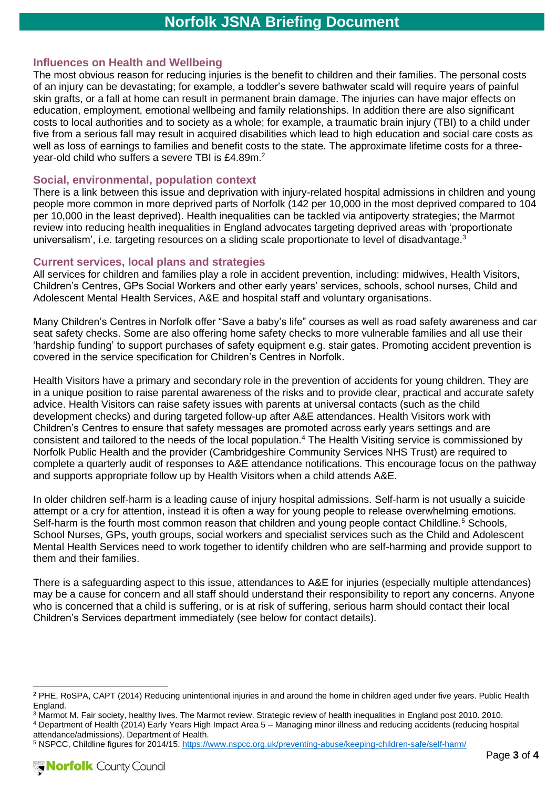## **Influences on Health and Wellbeing**

The most obvious reason for reducing injuries is the benefit to children and their families. The personal costs of an injury can be devastating; for example, a toddler's severe bathwater scald will require years of painful skin grafts, or a fall at home can result in permanent brain damage. The injuries can have major effects on education, employment, emotional wellbeing and family relationships. In addition there are also significant costs to local authorities and to society as a whole; for example, a traumatic brain injury (TBI) to a child under five from a serious fall may result in acquired disabilities which lead to high education and social care costs as well as loss of earnings to families and benefit costs to the state. The approximate lifetime costs for a threeyear-old child who suffers a severe TBI is £4.89m.<sup>2</sup>

### **Social, environmental, population context**

There is a link between this issue and deprivation with injury-related hospital admissions in children and young people more common in more deprived parts of Norfolk (142 per 10,000 in the most deprived compared to 104 per 10,000 in the least deprived). Health inequalities can be tackled via antipoverty strategies; the Marmot review into reducing health inequalities in England advocates targeting deprived areas with 'proportionate universalism', i.e. targeting resources on a sliding scale proportionate to level of disadvantage.<sup>3</sup>

#### **Current services, local plans and strategies**

All services for children and families play a role in accident prevention, including: midwives, Health Visitors, Children's Centres, GPs Social Workers and other early years' services, schools, school nurses, Child and Adolescent Mental Health Services, A&E and hospital staff and voluntary organisations.

Many Children's Centres in Norfolk offer "Save a baby's life" courses as well as road safety awareness and car seat safety checks. Some are also offering home safety checks to more vulnerable families and all use their 'hardship funding' to support purchases of safety equipment e.g. stair gates. Promoting accident prevention is covered in the service specification for Children's Centres in Norfolk.

Health Visitors have a primary and secondary role in the prevention of accidents for young children. They are in a unique position to raise parental awareness of the risks and to provide clear, practical and accurate safety advice. Health Visitors can raise safety issues with parents at universal contacts (such as the child development checks) and during targeted follow-up after A&E attendances. Health Visitors work with Children's Centres to ensure that safety messages are promoted across early years settings and are consistent and tailored to the needs of the local population.<sup>4</sup> The Health Visiting service is commissioned by Norfolk Public Health and the provider (Cambridgeshire Community Services NHS Trust) are required to complete a quarterly audit of responses to A&E attendance notifications. This encourage focus on the pathway and supports appropriate follow up by Health Visitors when a child attends A&E.

In older children self-harm is a leading cause of injury hospital admissions. Self-harm is not usually a suicide attempt or a cry for attention, instead it is often a way for young people to release overwhelming emotions. Self-harm is the fourth most common reason that children and young people contact Childline.<sup>5</sup> Schools, School Nurses, GPs, youth groups, social workers and specialist services such as the Child and Adolescent Mental Health Services need to work together to identify children who are self-harming and provide support to them and their families.

There is a safeguarding aspect to this issue, attendances to A&E for injuries (especially multiple attendances) may be a cause for concern and all staff should understand their responsibility to report any concerns. Anyone who is concerned that a child is suffering, or is at risk of suffering, serious harm should contact their local Children's Services department immediately (see below for contact details).

<sup>2</sup> PHE, RoSPA, CAPT (2014) Reducing unintentional injuries in and around the home in children aged under five years. Public Health England.

<sup>3</sup> Marmot M. Fair society, healthy lives. The Marmot review. Strategic review of health inequalities in England post 2010. 2010. <sup>4</sup> Department of Health (2014) Early Years High Impact Area 5 – Managing minor illness and reducing accidents (reducing hospital attendance/admissions). Department of Health.

<sup>5</sup> NSPCC, Childline figures for 2014/15.<https://www.nspcc.org.uk/preventing-abuse/keeping-children-safe/self-harm/>